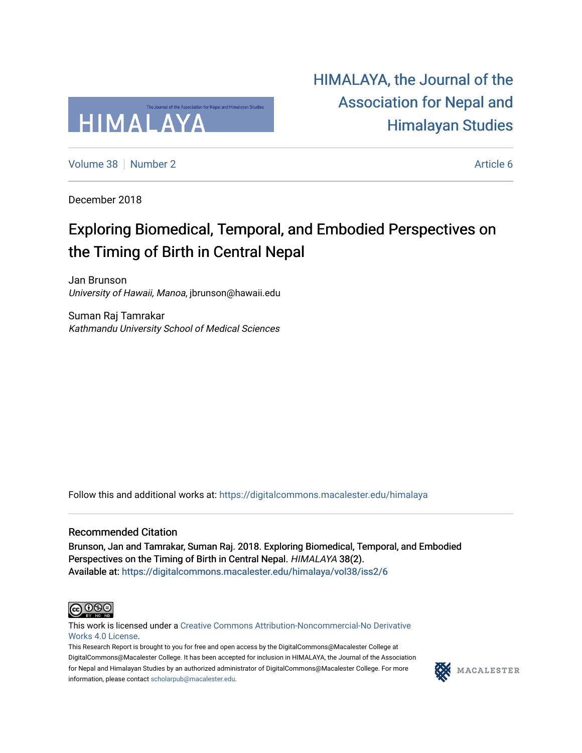

[HIMALAYA, the Journal of the](https://digitalcommons.macalester.edu/himalaya)  [Association for Nepal and](https://digitalcommons.macalester.edu/himalaya)  [Himalayan Studies](https://digitalcommons.macalester.edu/himalaya) 

[Volume 38](https://digitalcommons.macalester.edu/himalaya/vol38) [Number 2](https://digitalcommons.macalester.edu/himalaya/vol38/iss2) Article 6

December 2018

### Exploring Biomedical, Temporal, and Embodied Perspectives on the Timing of Birth in Central Nepal

Jan Brunson University of Hawaii, Manoa, jbrunson@hawaii.edu

Suman Raj Tamrakar Kathmandu University School of Medical Sciences

Follow this and additional works at: [https://digitalcommons.macalester.edu/himalaya](https://digitalcommons.macalester.edu/himalaya?utm_source=digitalcommons.macalester.edu%2Fhimalaya%2Fvol38%2Fiss2%2F6&utm_medium=PDF&utm_campaign=PDFCoverPages)

### Recommended Citation

Brunson, Jan and Tamrakar, Suman Raj. 2018. Exploring Biomedical, Temporal, and Embodied Perspectives on the Timing of Birth in Central Nepal. HIMALAYA 38(2). Available at: https:/[/digitalcommons.macalester.edu/himala](https://digitalcommons.macalester.edu/himalaya/vol38/iss2/6?utm_source=digitalcommons.macalester.edu%2Fhimalaya%2Fvol38%2Fiss2%2F6&utm_medium=PDF&utm_campaign=PDFCoverPages)ya/vol38/iss2/6



This work is licensed under a [Creative Commons Attribution-Noncommercial-No Derivative](https://creativecommons.org/licenses/by-nc-nd/4.0/)  [Works 4.0 License](https://creativecommons.org/licenses/by-nc-nd/4.0/).

This Research Report is brought to you for free and open access by the DigitalCommons@Macalester College at DigitalCommons@Macalester College. It has been accepted for inclusion in HIMALAYA, the Journal of the Association for Nepal and Himalayan Studies by an authorized administrator of DigitalCommons@Macalester College. For more information, please contact [scholarpub@macalester.edu](mailto:scholarpub@macalester.edu).

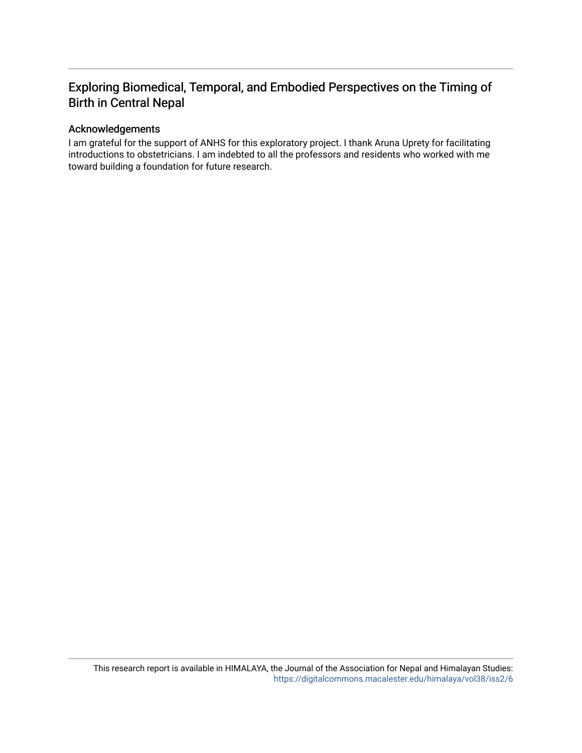### Exploring Biomedical, Temporal, and Embodied Perspectives on the Timing of Birth in Central Nepal

### Acknowledgements

I am grateful for the support of ANHS for this exploratory project. I thank Aruna Uprety for facilitating introductions to obstetricians. I am indebted to all the professors and residents who worked with me toward building a foundation for future research.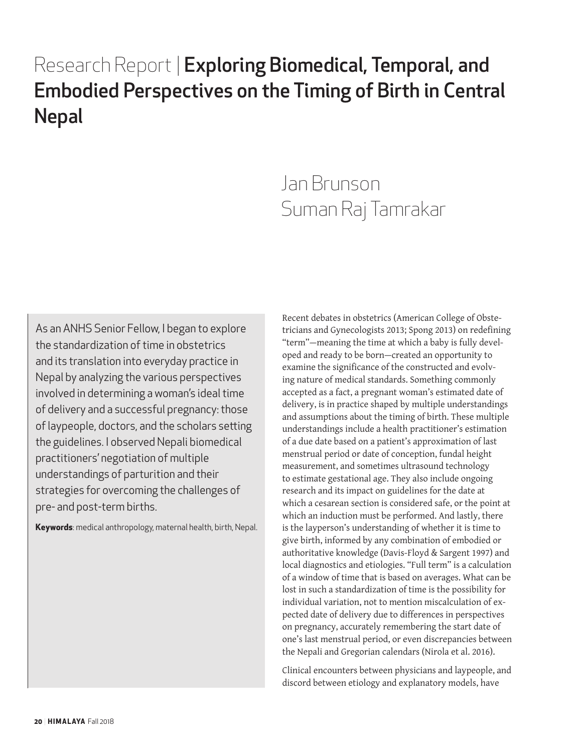# Research Report | Exploring Biomedical, Temporal, and Embodied Perspectives on the Timing of Birth in Central Nepal

# Jan Brunson Suman Raj Tamrakar

As an ANHS Senior Fellow, I began to explore the standardization of time in obstetrics and its translation into everyday practice in Nepal by analyzing the various perspectives involved in determining a woman's ideal time of delivery and a successful pregnancy: those of laypeople, doctors, and the scholars setting the guidelines. I observed Nepali biomedical practitioners' negotiation of multiple understandings of parturition and their strategies for overcoming the challenges of pre- and post-term births.

**Keywords**: medical anthropology, maternal health, birth, Nepal.

Recent debates in obstetrics (American College of Obstetricians and Gynecologists 2013; Spong 2013) on redefining "term"—meaning the time at which a baby is fully developed and ready to be born—created an opportunity to examine the significance of the constructed and evolving nature of medical standards. Something commonly accepted as a fact, a pregnant woman's estimated date of delivery, is in practice shaped by multiple understandings and assumptions about the timing of birth. These multiple understandings include a health practitioner's estimation of a due date based on a patient's approximation of last menstrual period or date of conception, fundal height measurement, and sometimes ultrasound technology to estimate gestational age. They also include ongoing research and its impact on guidelines for the date at which a cesarean section is considered safe, or the point at which an induction must be performed. And lastly, there is the layperson's understanding of whether it is time to give birth, informed by any combination of embodied or authoritative knowledge (Davis-Floyd & Sargent 1997) and local diagnostics and etiologies. "Full term" is a calculation of a window of time that is based on averages. What can be lost in such a standardization of time is the possibility for individual variation, not to mention miscalculation of expected date of delivery due to differences in perspectives on pregnancy, accurately remembering the start date of one's last menstrual period, or even discrepancies between the Nepali and Gregorian calendars (Nirola et al. 2016).

Clinical encounters between physicians and laypeople, and discord between etiology and explanatory models, have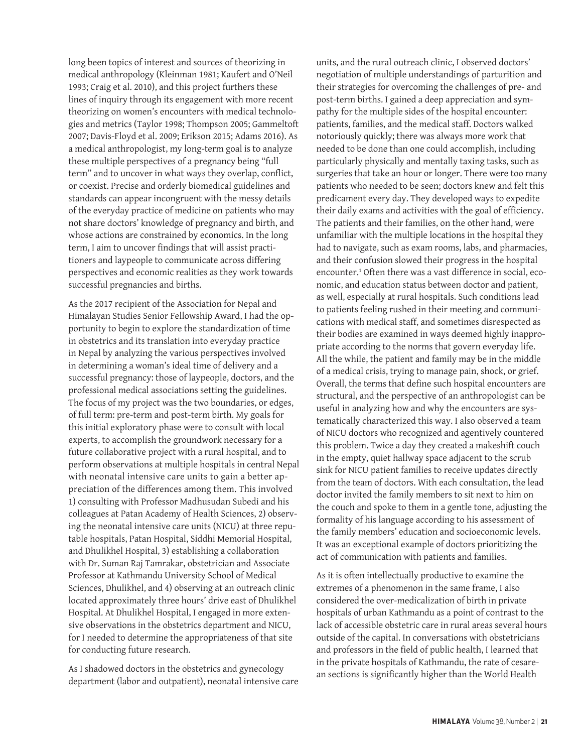long been topics of interest and sources of theorizing in medical anthropology (Kleinman 1981; Kaufert and O'Neil 1993; Craig et al. 2010), and this project furthers these lines of inquiry through its engagement with more recent theorizing on women's encounters with medical technologies and metrics (Taylor 1998; Thompson 2005; Gammeltoft 2007; Davis-Floyd et al. 2009; Erikson 2015; Adams 2016). As a medical anthropologist, my long-term goal is to analyze these multiple perspectives of a pregnancy being "full term" and to uncover in what ways they overlap, conflict, or coexist. Precise and orderly biomedical guidelines and standards can appear incongruent with the messy details of the everyday practice of medicine on patients who may not share doctors' knowledge of pregnancy and birth, and whose actions are constrained by economics. In the long term, I aim to uncover findings that will assist practitioners and laypeople to communicate across differing perspectives and economic realities as they work towards successful pregnancies and births.

As the 2017 recipient of the Association for Nepal and Himalayan Studies Senior Fellowship Award, I had the opportunity to begin to explore the standardization of time in obstetrics and its translation into everyday practice in Nepal by analyzing the various perspectives involved in determining a woman's ideal time of delivery and a successful pregnancy: those of laypeople, doctors, and the professional medical associations setting the guidelines. The focus of my project was the two boundaries, or edges, of full term: pre-term and post-term birth. My goals for this initial exploratory phase were to consult with local experts, to accomplish the groundwork necessary for a future collaborative project with a rural hospital, and to perform observations at multiple hospitals in central Nepal with neonatal intensive care units to gain a better appreciation of the differences among them. This involved 1) consulting with Professor Madhusudan Subedi and his colleagues at Patan Academy of Health Sciences, 2) observing the neonatal intensive care units (NICU) at three reputable hospitals, Patan Hospital, Siddhi Memorial Hospital, and Dhulikhel Hospital, 3) establishing a collaboration with Dr. Suman Raj Tamrakar, obstetrician and Associate Professor at Kathmandu University School of Medical Sciences, Dhulikhel, and 4) observing at an outreach clinic located approximately three hours' drive east of Dhulikhel Hospital. At Dhulikhel Hospital, I engaged in more extensive observations in the obstetrics department and NICU, for I needed to determine the appropriateness of that site for conducting future research.

As I shadowed doctors in the obstetrics and gynecology department (labor and outpatient), neonatal intensive care

units, and the rural outreach clinic, I observed doctors' negotiation of multiple understandings of parturition and their strategies for overcoming the challenges of pre- and post-term births. I gained a deep appreciation and sympathy for the multiple sides of the hospital encounter: patients, families, and the medical staff. Doctors walked notoriously quickly; there was always more work that needed to be done than one could accomplish, including particularly physically and mentally taxing tasks, such as surgeries that take an hour or longer. There were too many patients who needed to be seen; doctors knew and felt this predicament every day. They developed ways to expedite their daily exams and activities with the goal of efficiency. The patients and their families, on the other hand, were unfamiliar with the multiple locations in the hospital they had to navigate, such as exam rooms, labs, and pharmacies, and their confusion slowed their progress in the hospital encounter.1 Often there was a vast difference in social, economic, and education status between doctor and patient, as well, especially at rural hospitals. Such conditions lead to patients feeling rushed in their meeting and communications with medical staff, and sometimes disrespected as their bodies are examined in ways deemed highly inappropriate according to the norms that govern everyday life. All the while, the patient and family may be in the middle of a medical crisis, trying to manage pain, shock, or grief. Overall, the terms that define such hospital encounters are structural, and the perspective of an anthropologist can be useful in analyzing how and why the encounters are systematically characterized this way. I also observed a team of NICU doctors who recognized and agentively countered this problem. Twice a day they created a makeshift couch in the empty, quiet hallway space adjacent to the scrub sink for NICU patient families to receive updates directly from the team of doctors. With each consultation, the lead doctor invited the family members to sit next to him on the couch and spoke to them in a gentle tone, adjusting the formality of his language according to his assessment of the family members' education and socioeconomic levels. It was an exceptional example of doctors prioritizing the act of communication with patients and families.

As it is often intellectually productive to examine the extremes of a phenomenon in the same frame, I also considered the over-medicalization of birth in private hospitals of urban Kathmandu as a point of contrast to the lack of accessible obstetric care in rural areas several hours outside of the capital. In conversations with obstetricians and professors in the field of public health, I learned that in the private hospitals of Kathmandu, the rate of cesarean sections is significantly higher than the World Health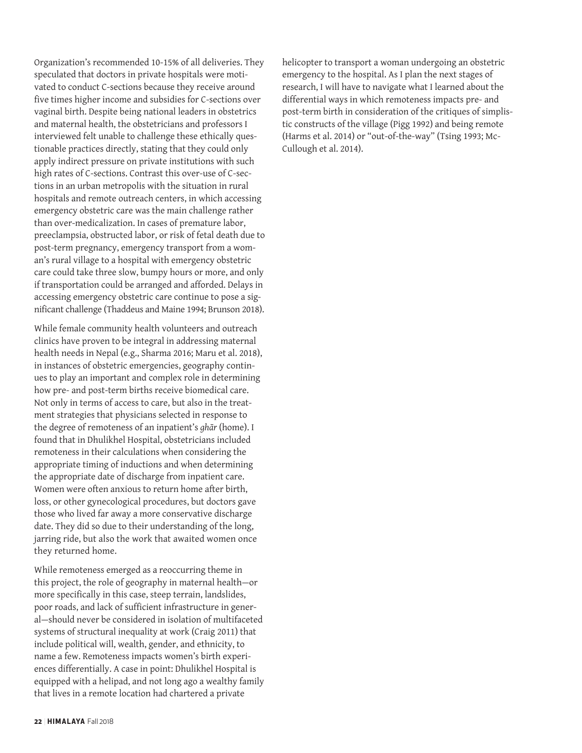Organization's recommended 10-15% of all deliveries. They speculated that doctors in private hospitals were motivated to conduct C-sections because they receive around five times higher income and subsidies for C-sections over vaginal birth. Despite being national leaders in obstetrics and maternal health, the obstetricians and professors I interviewed felt unable to challenge these ethically questionable practices directly, stating that they could only apply indirect pressure on private institutions with such high rates of C-sections. Contrast this over-use of C-sections in an urban metropolis with the situation in rural hospitals and remote outreach centers, in which accessing emergency obstetric care was the main challenge rather than over-medicalization. In cases of premature labor, preeclampsia, obstructed labor, or risk of fetal death due to post-term pregnancy, emergency transport from a woman's rural village to a hospital with emergency obstetric care could take three slow, bumpy hours or more, and only if transportation could be arranged and afforded. Delays in accessing emergency obstetric care continue to pose a significant challenge (Thaddeus and Maine 1994; Brunson 2018).

While female community health volunteers and outreach clinics have proven to be integral in addressing maternal health needs in Nepal (e.g., Sharma 2016; Maru et al. 2018), in instances of obstetric emergencies, geography continues to play an important and complex role in determining how pre- and post-term births receive biomedical care. Not only in terms of access to care, but also in the treatment strategies that physicians selected in response to the degree of remoteness of an inpatient's *ghār* (home). I found that in Dhulikhel Hospital, obstetricians included remoteness in their calculations when considering the appropriate timing of inductions and when determining the appropriate date of discharge from inpatient care. Women were often anxious to return home after birth, loss, or other gynecological procedures, but doctors gave those who lived far away a more conservative discharge date. They did so due to their understanding of the long, jarring ride, but also the work that awaited women once they returned home.

While remoteness emerged as a reoccurring theme in this project, the role of geography in maternal health—or more specifically in this case, steep terrain, landslides, poor roads, and lack of sufficient infrastructure in general—should never be considered in isolation of multifaceted systems of structural inequality at work (Craig 2011) that include political will, wealth, gender, and ethnicity, to name a few. Remoteness impacts women's birth experiences differentially. A case in point: Dhulikhel Hospital is equipped with a helipad, and not long ago a wealthy family that lives in a remote location had chartered a private

helicopter to transport a woman undergoing an obstetric emergency to the hospital. As I plan the next stages of research, I will have to navigate what I learned about the differential ways in which remoteness impacts pre- and post-term birth in consideration of the critiques of simplistic constructs of the village (Pigg 1992) and being remote (Harms et al. 2014) or "out-of-the-way" (Tsing 1993; Mc-Cullough et al. 2014).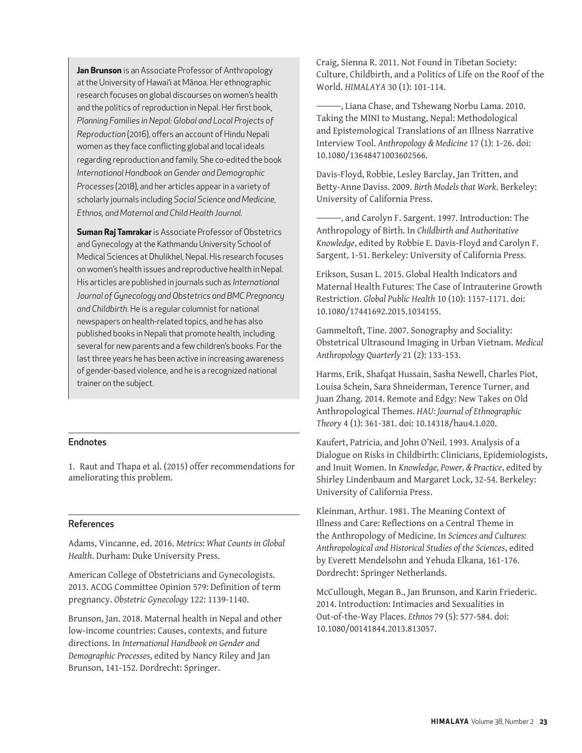**Jan Brunson** is an Associate Professor of Anthropology at the University of Hawai'i at Mānoa. Her ethnographic research focuses on global discourses on women's health and the politics of reproduction in Nepal. Her first book, *Planning Families in Nepal: Global and Local Projects of Reproduction* (2016), offers an account of Hindu Nepali women as they face conflicting global and local ideals regarding reproduction and family. She co-edited the book *International Handbook on Gender and Demographic Processes* (2018), and her articles appear in a variety of scholarly journals including *Social Science and Medicine, Ethnos, and Maternal and Child Health Journal.*

**Suman Raj Tamrakar** is Associate Professor of Obstetrics and Gynecology at the Kathmandu University School of Medical Sciences at Dhulikhel, Nepal. His research focuses on women's health issues and reproductive health in Nepal. His articles are published in journals such as *International Journal of Gynecology and Obstetrics and BMC Pregnancy and Childbirth*. He is a regular columnist for national newspapers on health-related topics, and he has also published books in Nepali that promote health, including several for new parents and a few children's books. For the last three years he has been active in increasing awareness of gender-based violence, and he is a recognized national trainer on the subject.

#### Endnotes

1. Raut and Thapa et al. (2015) offer recommendations for ameliorating this problem.

#### References

Adams, Vincanne, ed. 2016. *Metrics: What Counts in Global Health*. Durham: Duke University Press.

American College of Obstetricians and Gynecologists. 2013. ACOG Committee Opinion 579: Definition of term pregnancy. *Obstetric Gynecology* 122: 1139-1140.

Brunson, Jan. 2018. Maternal health in Nepal and other low-income countries: Causes, contexts, and future directions. In *International Handbook on Gender and Demographic Processes*, edited by Nancy Riley and Jan Brunson, 141-152. Dordrecht: Springer.

Craig, Sienna R. 2011. Not Found in Tibetan Society: Culture, Childbirth, and a Politics of Life on the Roof of the World. *HIMALAYA* 30 (1): 101-114.

 , Liana Chase, and Tshewang Norbu Lama. 2010. Taking the MINI to Mustang, Nepal: Methodological and Epistemological Translations of an Illness Narrative Interview Tool. *Anthropology & Medicine* 17 (1): 1-26. doi: 10.1080/13648471003602566.

Davis-Floyd, Robbie, Lesley Barclay, Jan Tritten, and Betty-Anne Daviss. 2009. *Birth Models that Work*. Berkeley: University of California Press.

 , and Carolyn F. Sargent. 1997. Introduction: The Anthropology of Birth. In *Childbirth and Authoritative Knowledge*, edited by Robbie E. Davis-Floyd and Carolyn F. Sargent, 1-51. Berkeley: University of California Press.

Erikson, Susan L. 2015. Global Health Indicators and Maternal Health Futures: The Case of Intrauterine Growth Restriction. *Global Public Health* 10 (10): 1157-1171. doi: 10.1080/17441692.2015.1034155.

Gammeltoft, Tine. 2007. Sonography and Sociality: Obstetrical Ultrasound Imaging in Urban Vietnam. *Medical Anthropology Quarterly* 21 (2): 133-153.

Harms, Erik, Shafqat Hussain, Sasha Newell, Charles Piot, Louisa Schein, Sara Shneiderman, Terence Turner, and Juan Zhang. 2014. Remote and Edgy: New Takes on Old Anthropological Themes. *HAU: Journal of Ethnographic Theory* 4 (1): 361-381. doi: 10.14318/hau4.1.020.

Kaufert, Patricia, and John O'Neil. 1993. Analysis of a Dialogue on Risks in Childbirth: Clinicians, Epidemiologists, and Inuit Women. In *Knowledge, Power, & Practice*, edited by Shirley Lindenbaum and Margaret Lock, 32-54. Berkeley: University of California Press.

Kleinman, Arthur. 1981. The Meaning Context of Illness and Care: Reflections on a Central Theme in the Anthropology of Medicine. In *Sciences and Cultures: Anthropological and Historical Studies of the Sciences*, edited by Everett Mendelsohn and Yehuda Elkana, 161-176. Dordrecht: Springer Netherlands.

McCullough, Megan B., Jan Brunson, and Karin Friederic. 2014. Introduction: Intimacies and Sexualities in Out-of-the-Way Places. *Ethnos* 79 (5): 577-584. doi: 10.1080/00141844.2013.813057.